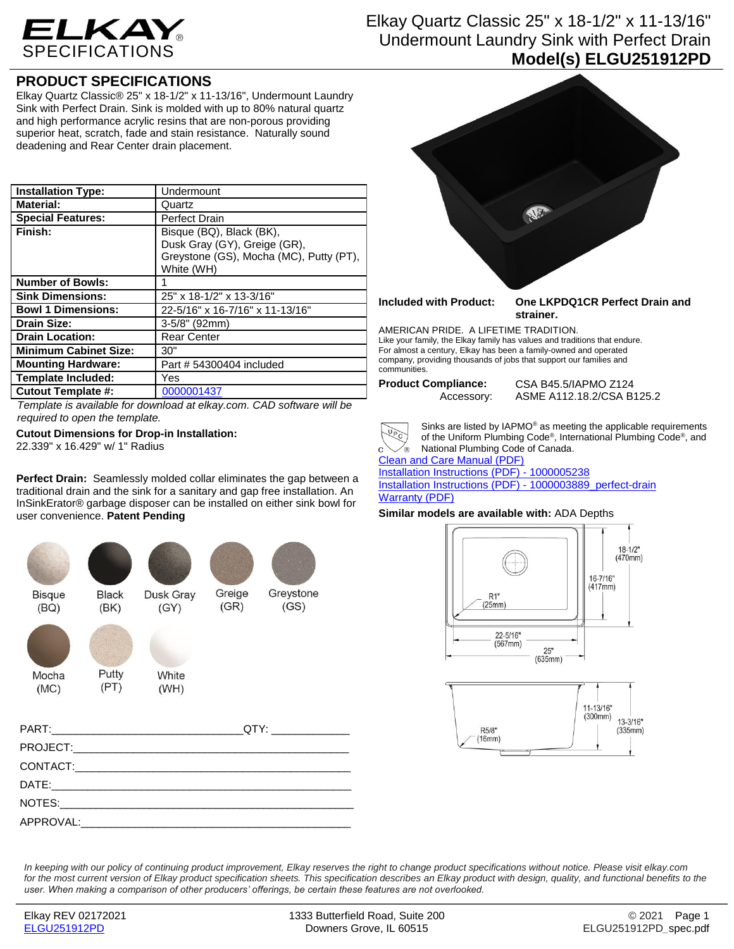

# Elkay Quartz Classic 25" x 18-1/2" x 11-13/16" Undermount Laundry Sink with Perfect Drain **Model(s) ELGU251912PD**

## **PRODUCT SPECIFICATIONS**

Elkay Quartz Classic® 25" x 18-1/2" x 11-13/16", Undermount Laundry Sink with Perfect Drain. Sink is molded with up to 80% natural quartz and high performance acrylic resins that are non-porous providing superior heat, scratch, fade and stain resistance. Naturally sound deadening and Rear Center drain placement.

| <b>Installation Type:</b>    | Undermount                                                                                                        |
|------------------------------|-------------------------------------------------------------------------------------------------------------------|
| <b>Material:</b>             | Quartz                                                                                                            |
| <b>Special Features:</b>     | <b>Perfect Drain</b>                                                                                              |
| Finish:                      | Bisque (BQ), Black (BK),<br>Dusk Gray (GY), Greige (GR),<br>Greystone (GS), Mocha (MC), Putty (PT),<br>White (WH) |
| <b>Number of Bowls:</b>      |                                                                                                                   |
| <b>Sink Dimensions:</b>      | 25" x 18-1/2" x 13-3/16"                                                                                          |
| <b>Bowl 1 Dimensions:</b>    | 22-5/16" x 16-7/16" x 11-13/16"                                                                                   |
| <b>Drain Size:</b>           | $3-5/8$ " (92mm)                                                                                                  |
| <b>Drain Location:</b>       | <b>Rear Center</b>                                                                                                |
| <b>Minimum Cabinet Size:</b> | 30"                                                                                                               |
| <b>Mounting Hardware:</b>    | Part # 54300404 included                                                                                          |
| <b>Template Included:</b>    | Yes                                                                                                               |
| <b>Cutout Template #:</b>    | 0000001437                                                                                                        |

*Template is available for download at elkay.com. CAD software will be required to open the template.*

### **Cutout Dimensions for Drop-in Installation:** 22.339" x 16.429" w/ 1" Radius

**Perfect Drain:** Seamlessly molded collar eliminates the gap between a traditional drain and the sink for a sanitary and gap free installation. An InSinkErator® garbage disposer can be installed on either sink bowl for user convenience. **Patent Pending**





**Included with Product: One LKPDQ1CR Perfect Drain and strainer.**

AMERICAN PRIDE. A LIFETIME TRADITION. Like your family, the Elkay family has values and traditions that endure. For almost a century, Elkay has been a family-owned and operated company, providing thousands of jobs that support our families and communities.

**Product Compliance:** CSA B45.5/IAPMO Z124 Accessory: ASME A112.18.2/CSA B125.2



Sinks are listed by IAPMO® as meeting the applicable requirements of the Uniform Plumbing Code® , International Plumbing Code® , and National Plumbing Code of Canada.

[Clean and Care Manual \(PDF\)](http://www.elkayfiles.com/care-cleaning-install-warranty-sheets/1000005387.pdf)

[Installation Instructions \(PDF\) -](http://www.elkayfiles.com/care-cleaning-install-warranty-sheets/1000005238.pdf) 1000005238 [Installation Instructions \(PDF\) -](http://www.elkayfiles.com/care-cleaning-install-warranty-sheets/1000003889_perfect-drain.pdf) 1000003889\_perfect-drain [Warranty](http://www.elkayfiles.com/care-cleaning-install-warranty-sheets/1000005126.pdf%2c%201000005133.pdf) (PDF)

## **Similar models are available with:** ADA Depths

 $(16mm)$ 



*In keeping with our policy of continuing product improvement, Elkay reserves the right to change product specifications without notice. Please visit elkay.com*  for the most current version of Elkay product specification sheets. This specification describes an Elkay product with design, quality, and functional benefits to the *user. When making a comparison of other producers' offerings, be certain these features are not overlooked.*